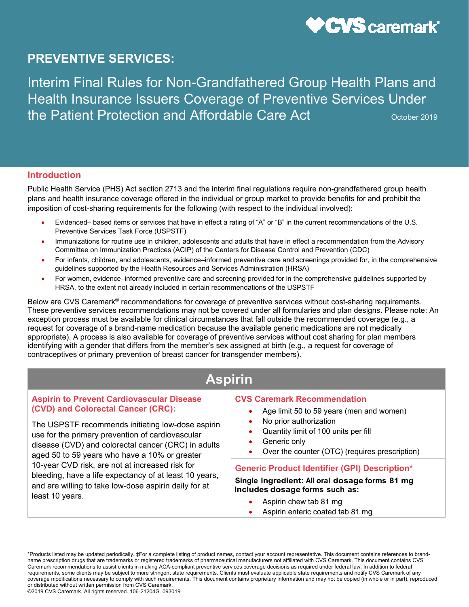

Interim Final Rules for Non-Grandfathered Group Health Plans and Health Insurance Issuers Coverage of Preventive Services Under the Patient Protection and Affordable Care Act **Care Act COCOCOCOCOCOCOCOCOCOCOCOCOCOCOCOCOCOC** 

#### **Introduction**

Public Health Service (PHS) Act section 2713 and the interim final regulations require non-grandfathered group health plans and health insurance coverage offered in the individual or group market to provide benefits for and prohibit the imposition of cost-sharing requirements for the following (with respect to the individual involved):

- Evidenced– based items or services that have in effect a rating of "A" or "B" in the current recommendations of the U.S. Preventive Services Task Force (USPSTF)
- Immunizations for routine use in children, adolescents and adults that have in effect a recommendation from the Advisory Committee on Immunization Practices (ACIP) of the Centers for Disease Control and Prevention (CDC)
- For infants, children, and adolescents, evidence–informed preventive care and screenings provided for, in the comprehensive guidelines supported by the Health Resources and Services Administration (HRSA)
- For women, evidence–informed preventive care and screening provided for in the comprehensive guidelines supported by HRSA, to the extent not already included in certain recommendations of the USPSTF

Below are CVS Caremark® recommendations for coverage of preventive services without cost-sharing requirements. These preventive services recommendations may not be covered under all formularies and plan designs. Please note: An exception process must be available for clinical circumstances that fall outside the recommended coverage (e.g., a request for coverage of a brand-name medication because the available generic medications are not medically appropriate). A process is also available for coverage of preventive services without cost sharing for plan members identifying with a gender that differs from the member's sex assigned at birth (e.g., a request for coverage of contraceptives or primary prevention of breast cancer for transgender members).

# **Aspirin**

#### **Aspirin to Prevent Cardiovascular Disease (CVD) and Colorectal Cancer (CRC):**

The USPSTF recommends initiating low-dose aspirin use for the primary prevention of cardiovascular disease (CVD) and colorectal cancer (CRC) in adults aged 50 to 59 years who have a 10% or greater 10-year CVD risk, are not at increased risk for bleeding, have a life expectancy of at least 10 years, and are willing to take low-dose aspirin daily for at least 10 years.

#### **CVS Caremark Recommendation**

- Age limit 50 to 59 years (men and women)
- No prior authorization
- Quantity limit of 100 units per fill
- Generic only
- Over the counter (OTC) (requires prescription)

#### **Generic Product Identifier (GPI) Description\***

#### **Single ingredient: All oral dosage forms 81 mg Includes dosage forms such as:**

- Aspirin chew tab 81 mg
- Aspirin enteric coated tab 81 mg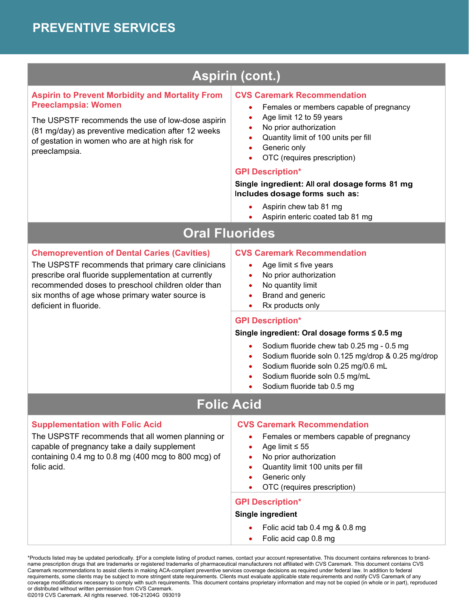# **Aspirin (cont.)**

### **Aspirin to Prevent Morbidity and Mortality From Preeclampsia: Women**

The USPSTF recommends the use of low-dose aspirin (81 mg/day) as preventive medication after 12 weeks of gestation in women who are at high risk for preeclampsia.

#### **CVS Caremark Recommendation**

- Females or members capable of pregnancy
- Age limit 12 to 59 years
- No prior authorization
- Quantity limit of 100 units per fill
- Generic only
- OTC (requires prescription)

#### **GPI Description\***

#### **Single ingredient: All oral dosage forms 81 mg Includes dosage forms such as:**

- Aspirin chew tab 81 mg
- Aspirin enteric coated tab 81 mg

# **Oral Fluorides**

## **Chemoprevention of Dental Caries (Cavities)**

The USPSTF recommends that primary care clinicians prescribe oral fluoride supplementation at currently recommended doses to preschool children older than six months of age whose primary water source is deficient in fluoride.

#### **CVS Caremark Recommendation**

- Age limit ≤ five years
- No prior authorization
- No quantity limit
- Brand and generic
- Rx products only

### **GPI Description\***

#### **Single ingredient: Oral dosage forms ≤ 0.5 mg**

- Sodium fluoride chew tab 0.25 mg 0.5 mg
- Sodium fluoride soln 0.125 mg/drop & 0.25 mg/drop
- Sodium fluoride soln 0.25 mg/0.6 mL
- Sodium fluoride soln 0.5 mg/mL
- Sodium fluoride tab 0.5 mg

# **Folic Acid**

### **Supplementation with Folic Acid**

The USPSTF recommends that all women planning or capable of pregnancy take a daily supplement containing 0.4 mg to 0.8 mg (400 mcg to 800 mcg) of folic acid.

#### **CVS Caremark Recommendation**

- Females or members capable of pregnancy
- Age limit ≤ 55
- No prior authorization
- Quantity limit 100 units per fill
- Generic only
- OTC (requires prescription)

### **GPI Description\***

#### **Single ingredient**

- Folic acid tab 0.4 mg & 0.8 mg
- Folic acid cap 0.8 mg

\*Products listed may be updated periodically. ‡For a complete listing of product names, contact your account representative. This document contains references to brandname prescription drugs that are trademarks or registered trademarks of pharmaceutical manufacturers not affiliated with CVS Caremark. This document contains CVS Caremark recommendations to assist clients in making ACA-compliant preventive services coverage decisions as required under federal law. In addition to federal requirements, some clients may be subject to more stringent state requirements. Clients must evaluate applicable state requirements and notify CVS Caremark of any coverage modifications necessary to comply with such requirements. This document contains proprietary information and may not be copied (in whole or in part), reproduced or distributed without written permission from CVS Caremark.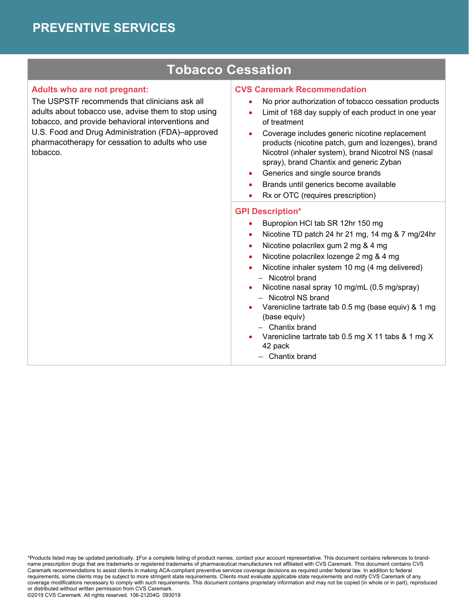# **Tobacco Cessation**

#### **Adults who are not pregnant:**

The USPSTF recommends that clinicians ask all adults about tobacco use, advise them to stop using tobacco, and provide behavioral interventions and U.S. Food and Drug Administration (FDA)–approved pharmacotherapy for cessation to adults who use tobacco.

#### **CVS Caremark Recommendation**

- No prior authorization of tobacco cessation products
- Limit of 168 day supply of each product in one year of treatment
- Coverage includes generic nicotine replacement products (nicotine patch, gum and lozenges), brand Nicotrol (inhaler system), brand Nicotrol NS (nasal spray), brand Chantix and generic Zyban
- Generics and single source brands
- Brands until generics become available
- Rx or OTC (requires prescription)

#### **GPI Description\***

- Bupropion HCl tab SR 12hr 150 mg
- Nicotine TD patch 24 hr 21 mg, 14 mg & 7 mg/24hr
- Nicotine polacrilex gum 2 mg & 4 mg
- Nicotine polacrilex lozenge 2 mg & 4 mg
- Nicotine inhaler system 10 mg (4 mg delivered) – Nicotrol brand
- Nicotine nasal spray 10 mg/mL (0.5 mg/spray) – Nicotrol NS brand
- Varenicline tartrate tab 0.5 mg (base equiv) & 1 mg (base equiv)
	- Chantix brand
- Varenicline tartrate tab 0.5 mg X 11 tabs & 1 mg X 42 pack
	- Chantix brand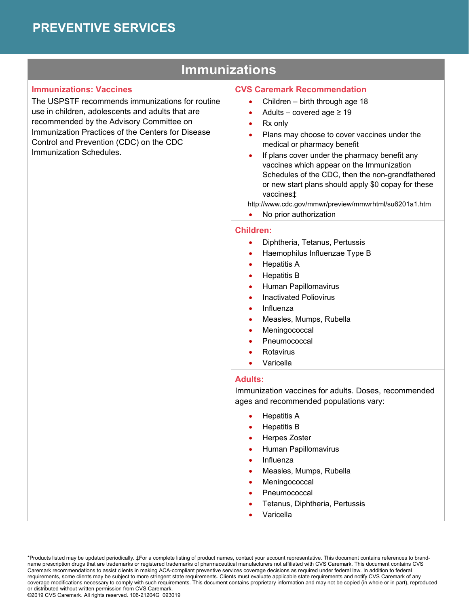# **Immunizations**

#### **Immunizations: Vaccines**

The USPSTF recommends immunizations for routine use in children, adolescents and adults that are recommended by the Advisory Committee on Immunization Practices of the Centers for Disease Control and Prevention (CDC) on the CDC Immunization Schedules.

#### **CVS Caremark Recommendation**

- Children birth through age 18
- Adults covered age  $\geq 19$
- Rx only
- Plans may choose to cover vaccines under the medical or pharmacy benefit
- If plans cover under the pharmacy benefit any vaccines which appear on the Immunization Schedules of the CDC, then the non-grandfathered or new start plans should apply \$0 copay for these vaccines‡

http://www.cdc.gov/mmwr/preview/mmwrhtml/su6201a1.htm

No prior authorization

#### **Children:**

- Diphtheria, Tetanus, Pertussis
- Haemophilus Influenzae Type B
- Hepatitis A
- Hepatitis B
- Human Papillomavirus
- Inactivated Poliovirus
- Influenza
- Measles, Mumps, Rubella
- Meningococcal
- Pneumococcal
- Rotavirus
- Varicella

### **Adults:**

Immunization vaccines for adults. Doses, recommended ages and recommended populations vary:

- Hepatitis A
- Hepatitis B
- Herpes Zoster
- Human Papillomavirus
- Influenza
- Measles, Mumps, Rubella
- Meningococcal
- Pneumococcal
- Tetanus, Diphtheria, Pertussis
- Varicella

<sup>\*</sup>Products listed may be updated periodically. ‡For a complete listing of product names, contact your account representative. This document contains references to brandname prescription drugs that are trademarks or registered trademarks of pharmaceutical manufacturers not affiliated with CVS Caremark. This document contains CVS Caremark recommendations to assist clients in making ACA-compliant preventive services coverage decisions as required under federal law. In addition to federal requirements, some clients may be subject to more stringent state requirements. Clients must evaluate applicable state requirements and notify CVS Caremark of any coverage modifications necessary to comply with such requirements. This document contains proprietary information and may not be copied (in whole or in part), reproduced or distributed without written permission from CVS Caremark.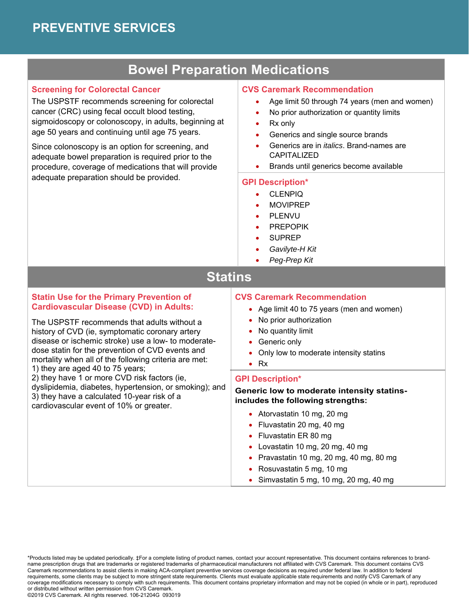## **Bowel Preparation Medications**

### **Screening for Colorectal Cancer**

The USPSTF recommends screening for colorectal cancer (CRC) using fecal occult blood testing, sigmoidoscopy or colonoscopy, in adults, beginning at age 50 years and continuing until age 75 years.

Since colonoscopy is an option for screening, and adequate bowel preparation is required prior to the procedure, coverage of medications that will provide adequate preparation should be provided.

#### **CVS Caremark Recommendation**

- Age limit 50 through 74 years (men and women)
- No prior authorization or quantity limits
- Rx only
- Generics and single source brands
- Generics are in *italics*. Brand-names are CAPITALIZED
- **•** Brands until generics become available

#### **GPI Description\***

- CLENPIQ
- MOVIPREP
- PLENVU
- PREPOPIK
- SUPREP
- *Gavilyte-H Kit*
- *Peg-Prep Kit*

## **Statins**

#### **Statin Use for the Primary Prevention of Cardiovascular Disease (CVD) in Adults:**

The USPSTF recommends that adults without a history of CVD (ie, symptomatic coronary artery disease or ischemic stroke) use a low- to moderatedose statin for the prevention of CVD events and mortality when all of the following criteria are met: 1) they are aged 40 to 75 years;

2) they have 1 or more CVD risk factors (ie,

dyslipidemia, diabetes, hypertension, or smoking); and 3) they have a calculated 10-year risk of a cardiovascular event of 10% or greater.

#### **CVS Caremark Recommendation**

- Age limit 40 to 75 years (men and women)
- No prior authorization
- No quantity limit
- Generic only
- Only low to moderate intensity statins
- $\bullet$  Rx

#### **GPI Description\***

**Generic low to moderate intensity statinsincludes the following strengths:**

- Atorvastatin 10 mg, 20 mg
- Fluvastatin 20 mg, 40 mg
- Fluvastatin ER 80 mg
- Lovastatin 10 mg, 20 mg, 40 mg
- Pravastatin 10 mg, 20 mg, 40 mg, 80 mg
- Rosuvastatin 5 mg, 10 mg
- $\bullet$  Simvastatin 5 mg, 10 mg, 20 mg, 40 mg

\*Products listed may be updated periodically. ‡For a complete listing of product names, contact your account representative. This document contains references to brandname prescription drugs that are trademarks or registered trademarks of pharmaceutical manufacturers not affiliated with CVS Caremark. This document contains CVS Caremark recommendations to assist clients in making ACA-compliant preventive services coverage decisions as required under federal law. In addition to federal requirements, some clients may be subject to more stringent state requirements. Clients must evaluate applicable state requirements and notify CVS Caremark of any coverage modifications necessary to comply with such requirements. This document contains proprietary information and may not be copied (in whole or in part), reproduced or distributed without written permission from CVS Caremark.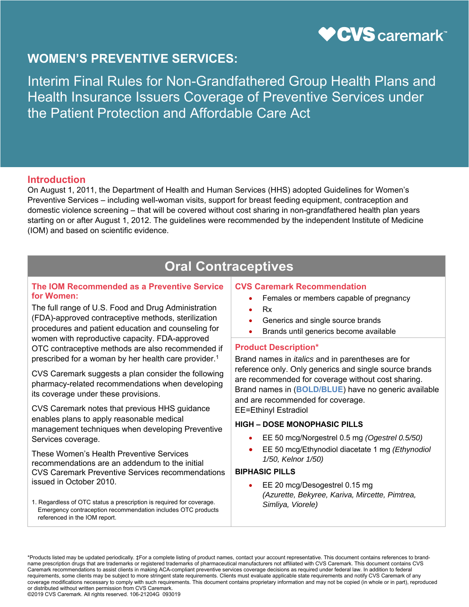

Interim Final Rules for Non-Grandfathered Group Health Plans and Health Insurance Issuers Coverage of Preventive Services under the Patient Protection and Affordable Care Act

### **Introduction**

On August 1, 2011, the Department of Health and Human Services (HHS) adopted Guidelines for Women's Preventive Services – including well-woman visits, support for breast feeding equipment, contraception and domestic violence screening – that will be covered without cost sharing in non-grandfathered health plan years starting on or after August 1, 2012. The guidelines were recommended by the independent Institute of Medicine (IOM) and based on scientific evidence.

# **Oral Contraceptives**

#### **The IOM Recommended as a Preventive Service for Women:**

The full range of U.S. Food and Drug Administration (FDA)-approved contraceptive methods, sterilization procedures and patient education and counseling for women with reproductive capacity. FDA-approved OTC contraceptive methods are also recommended if prescribed for a woman by her health care provider.1

CVS Caremark suggests a plan consider the following pharmacy-related recommendations when developing its coverage under these provisions.

CVS Caremark notes that previous HHS guidance enables plans to apply reasonable medical management techniques when developing Preventive Services coverage.

These Women's Health Preventive Services recommendations are an addendum to the initial CVS Caremark Preventive Services recommendations issued in October 2010.

1. Regardless of OTC status a prescription is required for coverage. Emergency contraception recommendation includes OTC products referenced in the IOM report.

#### **CVS Caremark Recommendation**

- Females or members capable of pregnancy
- Rx
- Generics and single source brands
- Brands until generics become available

#### **Product Description\***

Brand names in *italics* and in parentheses are for reference only. Only generics and single source brands are recommended for coverage without cost sharing. Brand names in (**BOLD/BLUE**) have no generic available and are recommended for coverage.

EE=Ethinyl Estradiol

#### **HIGH – DOSE MONOPHASIC PILLS**

- EE 50 mcg/Norgestrel 0.5 mg *(Ogestrel 0.5/50)*
- EE 50 mcg/Ethynodiol diacetate 1 mg *(Ethynodiol 1/50, Kelnor 1/50)*

#### **BIPHASIC PILLS**

 EE 20 mcg/Desogestrel 0.15 mg *(Azurette, Bekyree, Kariva, Mircette, Pimtrea, Simliya, Viorele)* 

\*Products listed may be updated periodically. ‡For a complete listing of product names, contact your account representative. This document contains references to brandname prescription drugs that are trademarks or registered trademarks of pharmaceutical manufacturers not affiliated with CVS Caremark. This document contains CVS Caremark recommendations to assist clients in making ACA-compliant preventive services coverage decisions as required under federal law. In addition to federal requirements, some clients may be subject to more stringent state requirements. Clients must evaluate applicable state requirements and notify CVS Caremark of any coverage modifications necessary to comply with such requirements. This document contains proprietary information and may not be copied (in whole or in part), reproduced or distributed without written permission from CVS Caremark.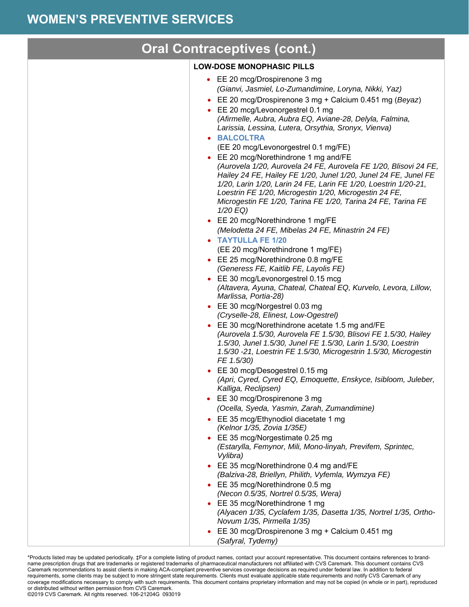| <b>Oral Contraceptives (cont.)</b>                                                                                                                                                                                                                                                                                                                                                                                                                                                                                                                                                                                                                                                                                                                                                                                                                                                                                                                                                                                                                                                                                                                                                                                                                                                                                                                                                                                                                                                                                                                                                                                                                                                                                                                                                                                                                                                      |
|-----------------------------------------------------------------------------------------------------------------------------------------------------------------------------------------------------------------------------------------------------------------------------------------------------------------------------------------------------------------------------------------------------------------------------------------------------------------------------------------------------------------------------------------------------------------------------------------------------------------------------------------------------------------------------------------------------------------------------------------------------------------------------------------------------------------------------------------------------------------------------------------------------------------------------------------------------------------------------------------------------------------------------------------------------------------------------------------------------------------------------------------------------------------------------------------------------------------------------------------------------------------------------------------------------------------------------------------------------------------------------------------------------------------------------------------------------------------------------------------------------------------------------------------------------------------------------------------------------------------------------------------------------------------------------------------------------------------------------------------------------------------------------------------------------------------------------------------------------------------------------------------|
| <b>LOW-DOSE MONOPHASIC PILLS</b>                                                                                                                                                                                                                                                                                                                                                                                                                                                                                                                                                                                                                                                                                                                                                                                                                                                                                                                                                                                                                                                                                                                                                                                                                                                                                                                                                                                                                                                                                                                                                                                                                                                                                                                                                                                                                                                        |
| • EE 20 mcg/Drospirenone 3 mg<br>(Gianvi, Jasmiel, Lo-Zumandimine, Loryna, Nikki, Yaz)<br>• EE 20 mcg/Drospirenone 3 mg + Calcium 0.451 mg (Beyaz)<br>• EE 20 mcg/Levonorgestrel 0.1 mg<br>(Afirmelle, Aubra, Aubra EQ, Aviane-28, Delyla, Falmina,<br>Larissia, Lessina, Lutera, Orsythia, Sronyx, Vienva)<br>• BALCOLTRA<br>(EE 20 mcg/Levonorgestrel 0.1 mg/FE)<br>• EE 20 mcg/Norethindrone 1 mg and/FE<br>(Aurovela 1/20, Aurovela 24 FE, Aurovela FE 1/20, Blisovi 24 FE,<br>Hailey 24 FE, Hailey FE 1/20, Junel 1/20, Junel 24 FE, Junel FE<br>1/20, Larin 1/20, Larin 24 FE, Larin FE 1/20, Loestrin 1/20-21,<br>Loestrin FE 1/20, Microgestin 1/20, Microgestin 24 FE,<br>Microgestin FE 1/20, Tarina FE 1/20, Tarina 24 FE, Tarina FE<br>1/20 EQ)<br>• EE 20 mcg/Norethindrone 1 mg/FE<br>(Melodetta 24 FE, Mibelas 24 FE, Minastrin 24 FE)<br>• TAYTULLA FE 1/20<br>(EE 20 mcg/Norethindrone 1 mg/FE)<br>• EE 25 mcg/Norethindrone 0.8 mg/FE<br>(Generess FE, Kaitlib FE, Layolis FE)<br>• EE 30 mcg/Levonorgestrel 0.15 mcg<br>(Altavera, Ayuna, Chateal, Chateal EQ, Kurvelo, Levora, Lillow,<br>Marlissa, Portia-28)<br>• EE 30 mcg/Norgestrel 0.03 mg<br>(Cryselle-28, Elinest, Low-Ogestrel)<br>• EE 30 mcg/Norethindrone acetate 1.5 mg and/FE<br>(Aurovela 1.5/30, Aurovela FE 1.5/30, Blisovi FE 1.5/30, Hailey<br>1.5/30, Junel 1.5/30, Junel FE 1.5/30, Larin 1.5/30, Loestrin<br>1.5/30 -21, Loestrin FE 1.5/30, Microgestrin 1.5/30, Microgestin<br>FE 1.5/30)<br>• EE 30 mcg/Desogestrel 0.15 mg<br>(Apri, Cyred, Cyred EQ, Emoquette, Enskyce, Isibloom, Juleber,<br>Kalliga, Reclipsen)<br>• EE 30 mcg/Drospirenone 3 mg<br>(Ocella, Syeda, Yasmin, Zarah, Zumandimine)<br>• EE 35 mcg/Ethynodiol diacetate 1 mg<br>(Kelnor 1/35, Zovia 1/35E)<br>• EE 35 mcg/Norgestimate 0.25 mg<br>(Estarylla, Femynor, Mili, Mono-linyah, Previfem, Sprintec,<br>Vylibra) |
| • EE 35 mcg/Norethindrone 0.4 mg and/FE<br>(Balziva-28, Briellyn, Philith, Vyfemla, Wymzya FE)                                                                                                                                                                                                                                                                                                                                                                                                                                                                                                                                                                                                                                                                                                                                                                                                                                                                                                                                                                                                                                                                                                                                                                                                                                                                                                                                                                                                                                                                                                                                                                                                                                                                                                                                                                                          |
| • EE 35 mcg/Norethindrone 0.5 mg<br>(Necon 0.5/35, Nortrel 0.5/35, Wera)                                                                                                                                                                                                                                                                                                                                                                                                                                                                                                                                                                                                                                                                                                                                                                                                                                                                                                                                                                                                                                                                                                                                                                                                                                                                                                                                                                                                                                                                                                                                                                                                                                                                                                                                                                                                                |
| • EE 35 mcg/Norethindrone 1 mg<br>(Alyacen 1/35, Cyclafem 1/35, Dasetta 1/35, Nortrel 1/35, Ortho-<br>Novum 1/35, Pirmella 1/35)                                                                                                                                                                                                                                                                                                                                                                                                                                                                                                                                                                                                                                                                                                                                                                                                                                                                                                                                                                                                                                                                                                                                                                                                                                                                                                                                                                                                                                                                                                                                                                                                                                                                                                                                                        |
| • EE 30 mcg/Drospirenone 3 mg + Calcium 0.451 mg<br>(Safyral, Tydemy)                                                                                                                                                                                                                                                                                                                                                                                                                                                                                                                                                                                                                                                                                                                                                                                                                                                                                                                                                                                                                                                                                                                                                                                                                                                                                                                                                                                                                                                                                                                                                                                                                                                                                                                                                                                                                   |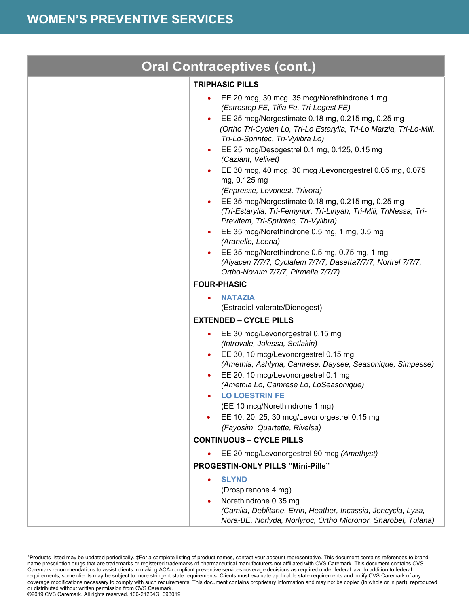| <b>Oral Contraceptives (cont.)</b> |                                                                                                                                                                                                                                                                                                                                                                                                                                                                                                                                                                                                                                                                                                                                                                                                    |  |
|------------------------------------|----------------------------------------------------------------------------------------------------------------------------------------------------------------------------------------------------------------------------------------------------------------------------------------------------------------------------------------------------------------------------------------------------------------------------------------------------------------------------------------------------------------------------------------------------------------------------------------------------------------------------------------------------------------------------------------------------------------------------------------------------------------------------------------------------|--|
|                                    | <b>TRIPHASIC PILLS</b>                                                                                                                                                                                                                                                                                                                                                                                                                                                                                                                                                                                                                                                                                                                                                                             |  |
|                                    | EE 20 mcg, 30 mcg, 35 mcg/Norethindrone 1 mg<br>(Estrostep FE, Tilia Fe, Tri-Legest FE)<br>EE 25 mcg/Norgestimate 0.18 mg, 0.215 mg, 0.25 mg<br>(Ortho Tri-Cyclen Lo, Tri-Lo Estarylla, Tri-Lo Marzia, Tri-Lo-Mili,<br>Tri-Lo-Sprintec, Tri-Vylibra Lo)<br>EE 25 mcg/Desogestrel 0.1 mg, 0.125, 0.15 mg<br>(Caziant, Velivet)<br>EE 30 mcg, 40 mcg, 30 mcg /Levonorgestrel 0.05 mg, 0.075<br>mg, 0.125 mg<br>(Enpresse, Levonest, Trivora)<br>EE 35 mcg/Norgestimate 0.18 mg, 0.215 mg, 0.25 mg<br>(Tri-Estarylla, Tri-Femynor, Tri-Linyah, Tri-Mili, TriNessa, Tri-<br>Previfem, Tri-Sprintec, Tri-Vylibra)<br>EE 35 mcg/Norethindrone 0.5 mg, 1 mg, 0.5 mg<br>(Aranelle, Leena)<br>EE 35 mcg/Norethindrone 0.5 mg, 0.75 mg, 1 mg<br>(Alyacen 7/7/7, Cyclafem 7/7/7, Dasetta7/7/7, Nortrel 7/7/7, |  |
|                                    | Ortho-Novum 7/7/7, Pirmella 7/7/7)                                                                                                                                                                                                                                                                                                                                                                                                                                                                                                                                                                                                                                                                                                                                                                 |  |
|                                    | <b>FOUR-PHASIC</b>                                                                                                                                                                                                                                                                                                                                                                                                                                                                                                                                                                                                                                                                                                                                                                                 |  |
|                                    | <b>NATAZIA</b><br>(Estradiol valerate/Dienogest)                                                                                                                                                                                                                                                                                                                                                                                                                                                                                                                                                                                                                                                                                                                                                   |  |
|                                    | <b>EXTENDED - CYCLE PILLS</b>                                                                                                                                                                                                                                                                                                                                                                                                                                                                                                                                                                                                                                                                                                                                                                      |  |
|                                    | EE 30 mcg/Levonorgestrel 0.15 mg<br>$\bullet$<br>(Introvale, Jolessa, Setlakin)<br>EE 30, 10 mcg/Levonorgestrel 0.15 mg<br>(Amethia, Ashlyna, Camrese, Daysee, Seasonique, Simpesse)<br>EE 20, 10 mcg/Levonorgestrel 0.1 mg<br>(Amethia Lo, Camrese Lo, LoSeasonique)<br><b>LO LOESTRIN FE</b><br>(EE 10 mcg/Norethindrone 1 mg)<br>EE 10, 20, 25, 30 mcg/Levonorgestrel 0.15 mg<br>(Fayosim, Quartette, Rivelsa)                                                                                                                                                                                                                                                                                                                                                                                  |  |
|                                    | <b>CONTINUOUS - CYCLE PILLS</b>                                                                                                                                                                                                                                                                                                                                                                                                                                                                                                                                                                                                                                                                                                                                                                    |  |
|                                    | EE 20 mcg/Levonorgestrel 90 mcg (Amethyst)                                                                                                                                                                                                                                                                                                                                                                                                                                                                                                                                                                                                                                                                                                                                                         |  |
|                                    | PROGESTIN-ONLY PILLS "Mini-Pills"                                                                                                                                                                                                                                                                                                                                                                                                                                                                                                                                                                                                                                                                                                                                                                  |  |
|                                    | <b>SLYND</b><br>(Drospirenone 4 mg)<br>Norethindrone 0.35 mg<br>(Camila, Deblitane, Errin, Heather, Incassia, Jencycla, Lyza,<br>Nora-BE, Norlyda, Norlyroc, Ortho Micronor, Sharobel, Tulana)                                                                                                                                                                                                                                                                                                                                                                                                                                                                                                                                                                                                     |  |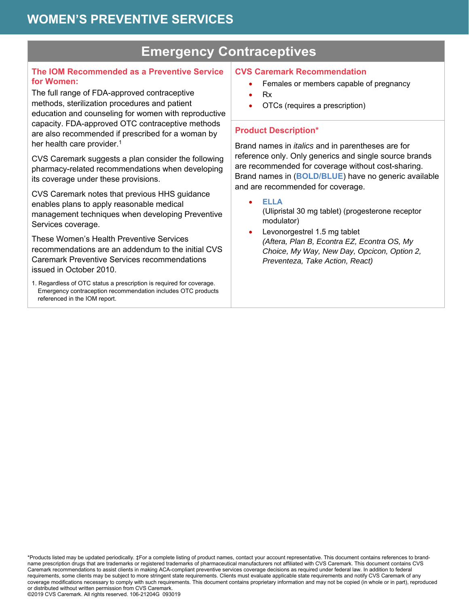# **Emergency Contraceptives**

### **The IOM Recommended as a Preventive Service for Women:**

The full range of FDA-approved contraceptive methods, sterilization procedures and patient education and counseling for women with reproductive capacity. FDA-approved OTC contraceptive methods are also recommended if prescribed for a woman by her health care provider.<sup>1</sup>

CVS Caremark suggests a plan consider the following pharmacy-related recommendations when developing its coverage under these provisions.

CVS Caremark notes that previous HHS guidance enables plans to apply reasonable medical management techniques when developing Preventive Services coverage.

These Women's Health Preventive Services recommendations are an addendum to the initial CVS Caremark Preventive Services recommendations issued in October 2010.

1. Regardless of OTC status a prescription is required for coverage. Emergency contraception recommendation includes OTC products referenced in the IOM report.

### **CVS Caremark Recommendation**

- Females or members capable of pregnancy
- Rx
- OTCs (requires a prescription)

## **Product Description\***

Brand names in *italics* and in parentheses are for reference only. Only generics and single source brands are recommended for coverage without cost-sharing. Brand names in (**BOLD/BLUE**) have no generic available and are recommended for coverage.

**ELLA** 

(Ulipristal 30 mg tablet) (progesterone receptor modulator)

 Levonorgestrel 1.5 mg tablet *(Aftera, Plan B, Econtra EZ, Econtra OS, My Choice, My Way, New Day, Opcicon, Option 2, Preventeza, Take Action, React)*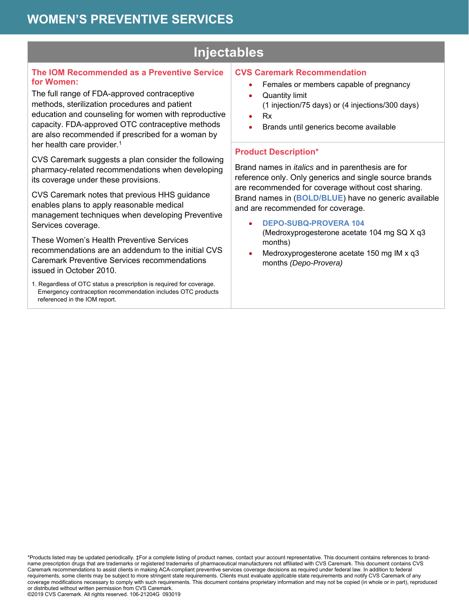# **Injectables**

### **The IOM Recommended as a Preventive Service for Women:**

The full range of FDA-approved contraceptive methods, sterilization procedures and patient education and counseling for women with reproductive capacity. FDA-approved OTC contraceptive methods are also recommended if prescribed for a woman by her health care provider.<sup>1</sup>

CVS Caremark suggests a plan consider the following pharmacy-related recommendations when developing its coverage under these provisions.

CVS Caremark notes that previous HHS guidance enables plans to apply reasonable medical management techniques when developing Preventive Services coverage.

These Women's Health Preventive Services recommendations are an addendum to the initial CVS Caremark Preventive Services recommendations issued in October 2010.

1. Regardless of OTC status a prescription is required for coverage. Emergency contraception recommendation includes OTC products referenced in the IOM report.

### **CVS Caremark Recommendation**

- Females or members capable of pregnancy
- Quantity limit (1 injection/75 days) or (4 injections/300 days)
- Rx
- Brands until generics become available

### **Product Description\***

Brand names in *italics* and in parenthesis are for reference only. Only generics and single source brands are recommended for coverage without cost sharing. Brand names in (**BOLD/BLUE**) have no generic available and are recommended for coverage.

- **DEPO-SUBQ-PROVERA 104**  (Medroxyprogesterone acetate 104 mg SQ X q3 months)
- Medroxyprogesterone acetate 150 mg IM x q3 months *(Depo-Provera)*

\*Products listed may be updated periodically. ‡For a complete listing of product names, contact your account representative. This document contains references to brandname prescription drugs that are trademarks or registered trademarks of pharmaceutical manufacturers not affiliated with CVS Caremark. This document contains CVS Caremark recommendations to assist clients in making ACA-compliant preventive services coverage decisions as required under federal law. In addition to federal requirements, some clients may be subject to more stringent state requirements. Clients must evaluate applicable state requirements and notify CVS Caremark of any coverage modifications necessary to comply with such requirements. This document contains proprietary information and may not be copied (in whole or in part), reproduced or distributed without written permission from CVS Caremark.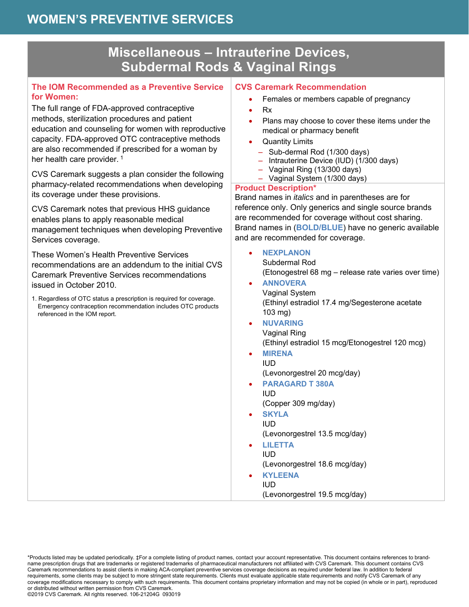## **Miscellaneous – Intrauterine Devices, Subdermal Rods & Vaginal Rings**

#### **The IOM Recommended as a Preventive Service for Women:**

The full range of FDA-approved contraceptive methods, sterilization procedures and patient education and counseling for women with reproductive capacity. FDA-approved OTC contraceptive methods are also recommended if prescribed for a woman by her health care provider.<sup>1</sup>

CVS Caremark suggests a plan consider the following pharmacy-related recommendations when developing its coverage under these provisions.

CVS Caremark notes that previous HHS guidance enables plans to apply reasonable medical management techniques when developing Preventive Services coverage.

These Women's Health Preventive Services recommendations are an addendum to the initial CVS Caremark Preventive Services recommendations issued in October 2010.

1. Regardless of OTC status a prescription is required for coverage. Emergency contraception recommendation includes OTC products referenced in the IOM report.

#### **CVS Caremark Recommendation**

- Females or members capable of pregnancy
- Rx
- Plans may choose to cover these items under the medical or pharmacy benefit
- Quantity Limits
	- Sub-dermal Rod (1/300 days)
	- Intrauterine Device (IUD) (1/300 days)
	- Vaginal Ring (13/300 days)
	- Vaginal System (1/300 days)

#### **Product Description\***

Brand names in *italics* and in parentheses are for reference only. Only generics and single source brands are recommended for coverage without cost sharing. Brand names in (**BOLD/BLUE**) have no generic available and are recommended for coverage.

- **NEXPLANON** Subdermal Rod (Etonogestrel 68 mg – release rate varies over time)
- **ANNOVERA** Vaginal System (Ethinyl estradiol 17.4 mg/Segesterone acetate 103 mg)
- **NUVARING** Vaginal Ring (Ethinyl estradiol 15 mcg/Etonogestrel 120 mcg)
- **MIRENA**  IUD
	- (Levonorgestrel 20 mcg/day)
- **PARAGARD T 380A**  IUD
	- (Copper 309 mg/day)
- **SKYLA** IUD (Levonorgestrel 13.5 mcg/day)
- **LILETTA**  IUD (Levonorgestrel 18.6 mcg/day)
- **KYLEENA**  IUD (Levonorgestrel 19.5 mcg/day)

\*Products listed may be updated periodically. ‡For a complete listing of product names, contact your account representative. This document contains references to brandname prescription drugs that are trademarks or registered trademarks of pharmaceutical manufacturers not affiliated with CVS Caremark. This document contains CVS Caremark recommendations to assist clients in making ACA-compliant preventive services coverage decisions as required under federal law. In addition to federal requirements, some clients may be subject to more stringent state requirements. Clients must evaluate applicable state requirements and notify CVS Caremark of any coverage modifications necessary to comply with such requirements. This document contains proprietary information and may not be copied (in whole or in part), reproduced or distributed without written permission from CVS Caremark.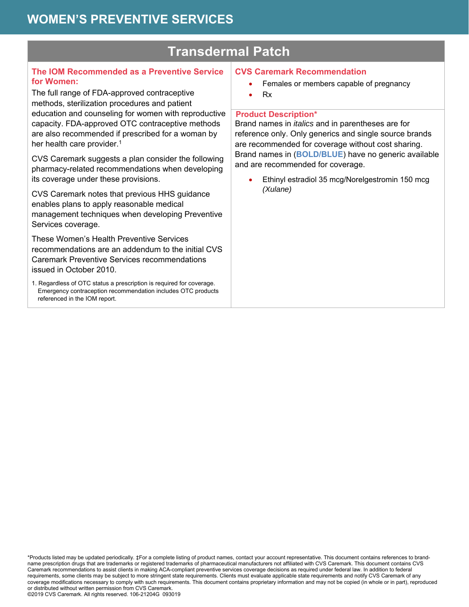| <b>Transdermal Patch</b>                                                                                                                                                                                           |                                                                                                                                                                                                                                                                                                                          |  |
|--------------------------------------------------------------------------------------------------------------------------------------------------------------------------------------------------------------------|--------------------------------------------------------------------------------------------------------------------------------------------------------------------------------------------------------------------------------------------------------------------------------------------------------------------------|--|
| The IOM Recommended as a Preventive Service<br>for Women:<br>The full range of FDA-approved contraceptive<br>methods, sterilization procedures and patient<br>education and counseling for women with reproductive | <b>CVS Caremark Recommendation</b><br>Females or members capable of pregnancy<br><b>Rx</b><br><b>Product Description*</b>                                                                                                                                                                                                |  |
| capacity. FDA-approved OTC contraceptive methods<br>are also recommended if prescribed for a woman by<br>her health care provider. <sup>1</sup>                                                                    | Brand names in <i>italics</i> and in parentheses are for<br>reference only. Only generics and single source brands<br>are recommended for coverage without cost sharing.<br>Brand names in (BOLD/BLUE) have no generic available<br>and are recommended for coverage.<br>Ethinyl estradiol 35 mcg/Norelgestromin 150 mcg |  |
| CVS Caremark suggests a plan consider the following<br>pharmacy-related recommendations when developing<br>its coverage under these provisions.                                                                    |                                                                                                                                                                                                                                                                                                                          |  |
| CVS Caremark notes that previous HHS guidance<br>enables plans to apply reasonable medical<br>management techniques when developing Preventive<br>Services coverage.                                               | (Xulane)                                                                                                                                                                                                                                                                                                                 |  |
| These Women's Health Preventive Services<br>recommendations are an addendum to the initial CVS<br><b>Caremark Preventive Services recommendations</b><br>issued in October 2010.                                   |                                                                                                                                                                                                                                                                                                                          |  |
| 1. Regardless of OTC status a prescription is required for coverage.<br>Emergency contraception recommendation includes OTC products<br>referenced in the IOM report.                                              |                                                                                                                                                                                                                                                                                                                          |  |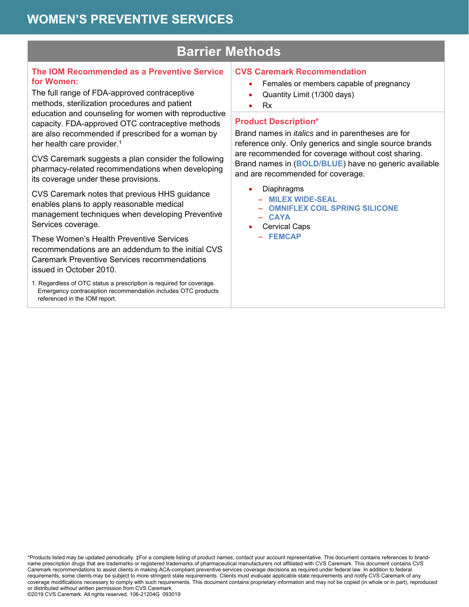## **Barrier Methods**

### **The IOM Recommended as a Preventive Service for Women:**

The full range of FDA-approved contraceptive methods, sterilization procedures and patient education and counseling for women with reproductive capacity. FDA-approved OTC contraceptive methods are also recommended if prescribed for a woman by her health care provider.<sup>1</sup>

CVS Caremark suggests a plan consider the following pharmacy-related recommendations when developing its coverage under these provisions.

CVS Caremark notes that previous HHS guidance enables plans to apply reasonable medical management techniques when developing Preventive Services coverage.

These Women's Health Preventive Services recommendations are an addendum to the initial CVS Caremark Preventive Services recommendations issued in October 2010.

1. Regardless of OTC status a prescription is required for coverage. Emergency contraception recommendation includes OTC products referenced in the IOM report.

## **CVS Caremark Recommendation**

- Females or members capable of pregnancy
- Quantity Limit (1/300 days)
- Rx

#### **Product Description\***

Brand names in *italics* and in parentheses are for reference only. Only generics and single source brands are recommended for coverage without cost sharing. Brand names in (**BOLD/BLUE**) have no generic available and are recommended for coverage.

- Diaphragms
	- **MILEX WIDE-SEAL**
	- **OMNIFLEX COIL SPRING SILICONE**  – **CAYA**
- Cervical Caps
- **FEMCAP**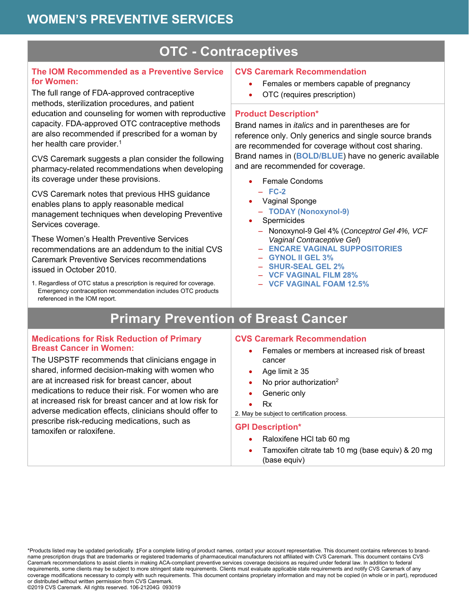# **OTC - Contraceptives**

### **The IOM Recommended as a Preventive Service for Women:**

The full range of FDA-approved contraceptive methods, sterilization procedures, and patient education and counseling for women with reproductive capacity. FDA-approved OTC contraceptive methods are also recommended if prescribed for a woman by her health care provider.<sup>1</sup>

CVS Caremark suggests a plan consider the following pharmacy-related recommendations when developing its coverage under these provisions.

CVS Caremark notes that previous HHS guidance enables plans to apply reasonable medical management techniques when developing Preventive Services coverage.

These Women's Health Preventive Services recommendations are an addendum to the initial CVS Caremark Preventive Services recommendations issued in October 2010.

1. Regardless of OTC status a prescription is required for coverage. Emergency contraception recommendation includes OTC products referenced in the IOM report.

## **CVS Caremark Recommendation**

- Females or members capable of pregnancy
- OTC (requires prescription)

### **Product Description\***

Brand names in *italics* and in parentheses are for reference only. Only generics and single source brands are recommended for coverage without cost sharing. Brand names in (**BOLD/BLUE**) have no generic available and are recommended for coverage.

Female Condoms

– **FC-2** 

- Vaginal Sponge
- **TODAY (Nonoxynol-9)**
- Spermicides
	- Nonoxynol-9 Gel 4% (*Conceptrol Gel 4%, VCF Vaginal Contraceptive Gel*)
	- **ENCARE VAGINAL SUPPOSITORIES**
	- **GYNOL II GEL 3%**
	- **SHUR-SEAL GEL 2%**
	- **VCF VAGINAL FILM 28%**
	- **VCF VAGINAL FOAM 12.5%**

# **Primary Prevention of Breast Cancer**

#### **Medications for Risk Reduction of Primary Breast Cancer in Women:**

The USPSTF recommends that clinicians engage in shared, informed decision-making with women who are at increased risk for breast cancer, about medications to reduce their risk. For women who are at increased risk for breast cancer and at low risk for adverse medication effects, clinicians should offer to prescribe risk-reducing medications, such as tamoxifen or raloxifene.

### **CVS Caremark Recommendation**

- Females or members at increased risk of breast cancer
- Age limit ≥ 35
- No prior authorization<sup>2</sup>
- Generic only

#### Rx

2. May be subject to certification process.

#### **GPI Description\***

- Raloxifene HCl tab 60 mg
- Tamoxifen citrate tab 10 mg (base equiv) & 20 mg (base equiv)